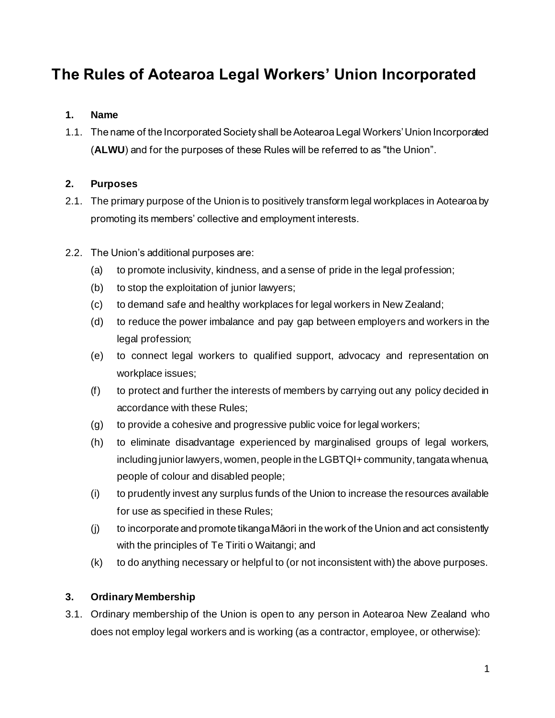# **The Rules of Aotearoa Legal Workers' Union Incorporated**

# **1. Name**

1.1. The name of the Incorporated Society shall be Aotearoa Legal Workers' Union Incorporated (**ALWU**) and for the purposes of these Rules will be referred to as "the Union".

# **2. Purposes**

- 2.1. The primary purpose of the Union is to positively transform legal workplaces in Aotearoa by promoting its members' collective and employment interests.
- 2.2. The Union's additional purposes are:
	- (a) to promote inclusivity, kindness, and a sense of pride in the legal profession;
	- (b) to stop the exploitation of junior lawyers;
	- (c) to demand safe and healthy workplaces for legal workers in New Zealand;
	- (d) to reduce the power imbalance and pay gap between employers and workers in the legal profession;
	- (e) to connect legal workers to qualified support, advocacy and representation on workplace issues;
	- (f) to protect and further the interests of members by carrying out any policy decided in accordance with these Rules;
	- (g) to provide a cohesive and progressive public voice for legal workers;
	- (h) to eliminate disadvantage experienced by marginalised groups of legal workers, including junior lawyers, women, people in the LGBTQI+ community, tangata whenua, people of colour and disabled people;
	- (i) to prudently invest any surplus funds of the Union to increase the resources available for use as specified in these Rules;
	- (j) to incorporate and promote tikanga Māori in the work of the Union and act consistently with the principles of Te Tiriti o Waitangi; and
	- (k) to do anything necessary or helpful to (or not inconsistent with) the above purposes.

# **3. Ordinary Membership**

3.1. Ordinary membership of the Union is open to any person in Aotearoa New Zealand who does not employ legal workers and is working (as a contractor, employee, or otherwise):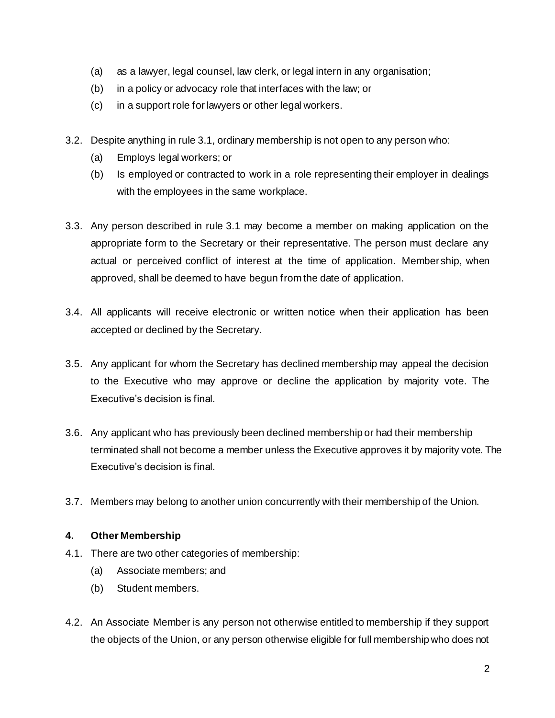- (a) as a lawyer, legal counsel, law clerk, or legal intern in any organisation;
- (b) in a policy or advocacy role that interfaces with the law; or
- (c) in a support role for lawyers or other legal workers.
- 3.2. Despite anything in rule 3.1, ordinary membership is not open to any person who:
	- (a) Employs legal workers; or
	- (b) Is employed or contracted to work in a role representing their employer in dealings with the employees in the same workplace.
- 3.3. Any person described in rule 3.1 may become a member on making application on the appropriate form to the Secretary or their representative. The person must declare any actual or perceived conflict of interest at the time of application. Member ship, when approved, shall be deemed to have begun from the date of application.
- 3.4. All applicants will receive electronic or written notice when their application has been accepted or declined by the Secretary.
- 3.5. Any applicant for whom the Secretary has declined membership may appeal the decision to the Executive who may approve or decline the application by majority vote. The Executive's decision is final.
- 3.6. Any applicant who has previously been declined membership or had their membership terminated shall not become a member unless the Executive approves it by majority vote. The Executive's decision is final.
- 3.7. Members may belong to another union concurrently with their membership of the Union.

## **4. Other Membership**

- 4.1. There are two other categories of membership:
	- (a) Associate members; and
	- (b) Student members.
- 4.2. An Associate Member is any person not otherwise entitled to membership if they support the objects of the Union, or any person otherwise eligible for full membership who does not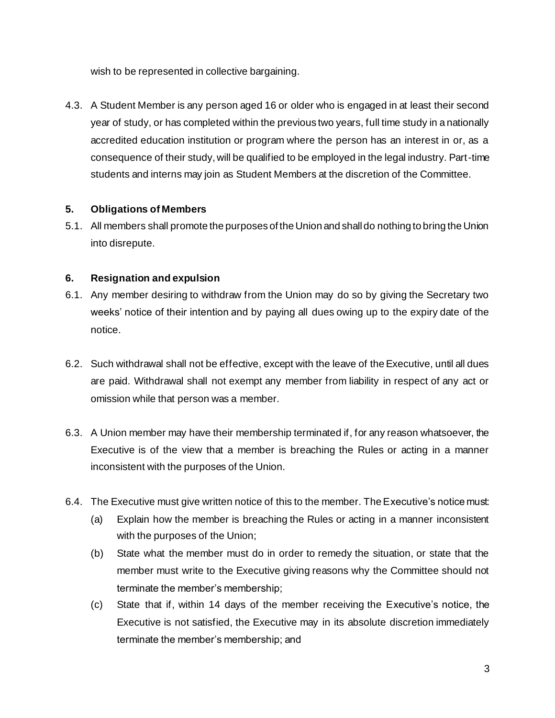wish to be represented in collective bargaining.

4.3. A Student Member is any person aged 16 or older who is engaged in at least their second year of study, or has completed within the previous two years, full time study in a nationally accredited education institution or program where the person has an interest in or, as a consequence of their study, will be qualified to be employed in the legal industry. Part-time students and interns may join as Student Members at the discretion of the Committee.

## **5. Obligations of Members**

5.1. All members shall promote the purposes of the Union and shall do nothing to bring the Union into disrepute.

## **6. Resignation and expulsion**

- 6.1. Any member desiring to withdraw from the Union may do so by giving the Secretary two weeks' notice of their intention and by paying all dues owing up to the expiry date of the notice.
- 6.2. Such withdrawal shall not be effective, except with the leave of the Executive, until all dues are paid. Withdrawal shall not exempt any member from liability in respect of any act or omission while that person was a member.
- 6.3. A Union member may have their membership terminated if, for any reason whatsoever, the Executive is of the view that a member is breaching the Rules or acting in a manner inconsistent with the purposes of the Union.
- 6.4. The Executive must give written notice of this to the member. The Executive's notice must:
	- (a) Explain how the member is breaching the Rules or acting in a manner inconsistent with the purposes of the Union;
	- (b) State what the member must do in order to remedy the situation, or state that the member must write to the Executive giving reasons why the Committee should not terminate the member's membership;
	- (c) State that if, within 14 days of the member receiving the Executive's notice, the Executive is not satisfied, the Executive may in its absolute discretion immediately terminate the member's membership; and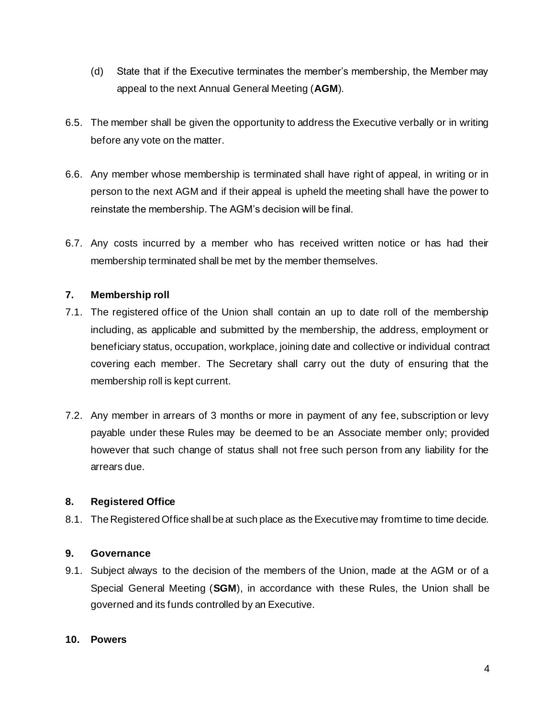- (d) State that if the Executive terminates the member's membership, the Member may appeal to the next Annual General Meeting (**AGM**).
- 6.5. The member shall be given the opportunity to address the Executive verbally or in writing before any vote on the matter.
- 6.6. Any member whose membership is terminated shall have right of appeal, in writing or in person to the next AGM and if their appeal is upheld the meeting shall have the power to reinstate the membership. The AGM's decision will be final.
- 6.7. Any costs incurred by a member who has received written notice or has had their membership terminated shall be met by the member themselves.

## **7. Membership roll**

- 7.1. The registered office of the Union shall contain an up to date roll of the membership including, as applicable and submitted by the membership, the address, employment or beneficiary status, occupation, workplace, joining date and collective or individual contract covering each member. The Secretary shall carry out the duty of ensuring that the membership roll is kept current.
- 7.2. Any member in arrears of 3 months or more in payment of any fee, subscription or levy payable under these Rules may be deemed to be an Associate member only; provided however that such change of status shall not free such person from any liability for the arrears due.

## **8. Registered Office**

8.1. The Registered Office shall be at such place as the Executive may from time to time decide.

# **9. Governance**

9.1. Subject always to the decision of the members of the Union, made at the AGM or of a Special General Meeting (**SGM**), in accordance with these Rules, the Union shall be governed and its funds controlled by an Executive.

## **10. Powers**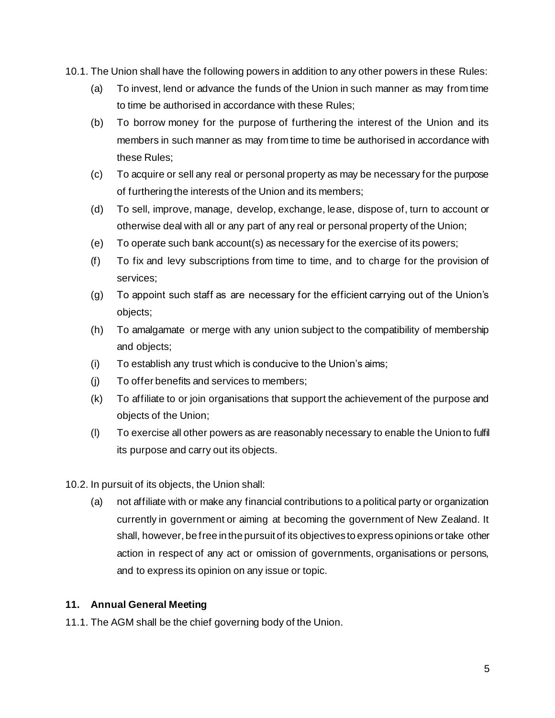- 10.1. The Union shall have the following powers in addition to any other powers in these Rules:
	- (a) To invest, lend or advance the funds of the Union in such manner as may from time to time be authorised in accordance with these Rules;
	- (b) To borrow money for the purpose of furthering the interest of the Union and its members in such manner as may from time to time be authorised in accordance with these Rules;
	- (c) To acquire or sell any real or personal property as may be necessary for the purpose of furthering the interests of the Union and its members;
	- (d) To sell, improve, manage, develop, exchange, lease, dispose of, turn to account or otherwise deal with all or any part of any real or personal property of the Union;
	- (e) To operate such bank account(s) as necessary for the exercise of its powers;
	- (f) To fix and levy subscriptions from time to time, and to charge for the provision of services;
	- (g) To appoint such staff as are necessary for the efficient carrying out of the Union's objects;
	- (h) To amalgamate or merge with any union subject to the compatibility of membership and objects;
	- (i) To establish any trust which is conducive to the Union's aims;
	- (j) To offer benefits and services to members;
	- (k) To affiliate to or join organisations that support the achievement of the purpose and objects of the Union;
	- (l) To exercise all other powers as are reasonably necessary to enable the Union to fulfil its purpose and carry out its objects.
- 10.2. In pursuit of its objects, the Union shall:
	- (a) not affiliate with or make any financial contributions to a political party or organization currently in government or aiming at becoming the government of New Zealand. It shall, however, be free in the pursuit of its objectives to express opinions or take other action in respect of any act or omission of governments, organisations or persons, and to express its opinion on any issue or topic.

#### **11. Annual General Meeting**

11.1. The AGM shall be the chief governing body of the Union.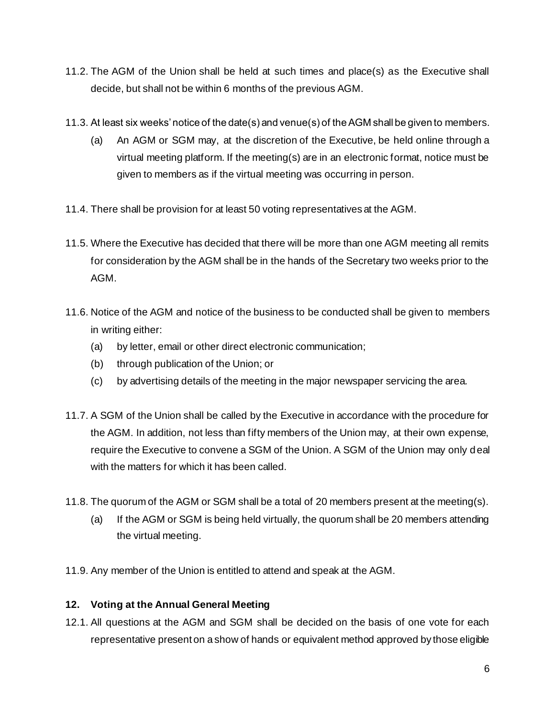- 11.2. The AGM of the Union shall be held at such times and place(s) as the Executive shall decide, but shall not be within 6 months of the previous AGM.
- 11.3. At least six weeks' notice of the date(s) and venue(s) of the AGM shall be given to members.
	- (a) An AGM or SGM may, at the discretion of the Executive, be held online through a virtual meeting platform. If the meeting(s) are in an electronic format, notice must be given to members as if the virtual meeting was occurring in person.
- 11.4. There shall be provision for at least 50 voting representatives at the AGM.
- 11.5. Where the Executive has decided that there will be more than one AGM meeting all remits for consideration by the AGM shall be in the hands of the Secretary two weeks prior to the AGM.
- 11.6. Notice of the AGM and notice of the business to be conducted shall be given to members in writing either:
	- (a) by letter, email or other direct electronic communication;
	- (b) through publication of the Union; or
	- (c) by advertising details of the meeting in the major newspaper servicing the area.
- 11.7. A SGM of the Union shall be called by the Executive in accordance with the procedure for the AGM. In addition, not less than fifty members of the Union may, at their own expense, require the Executive to convene a SGM of the Union. A SGM of the Union may only deal with the matters for which it has been called.
- 11.8. The quorum of the AGM or SGM shall be a total of 20 members present at the meeting(s).
	- (a) If the AGM or SGM is being held virtually, the quorum shall be 20 members attending the virtual meeting.
- 11.9. Any member of the Union is entitled to attend and speak at the AGM.

## **12. Voting at the Annual General Meeting**

12.1. All questions at the AGM and SGM shall be decided on the basis of one vote for each representative present on a show of hands or equivalent method approved by those eligible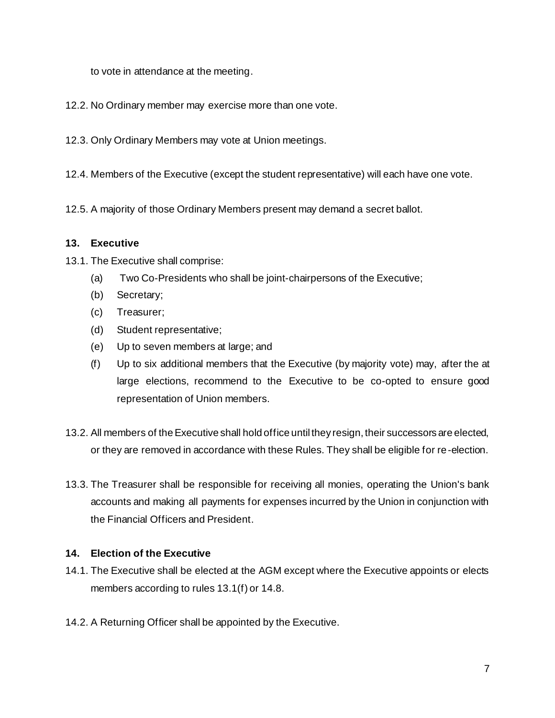to vote in attendance at the meeting.

- 12.2. No Ordinary member may exercise more than one vote.
- 12.3. Only Ordinary Members may vote at Union meetings.
- 12.4. Members of the Executive (except the student representative) will each have one vote.
- 12.5. A majority of those Ordinary Members present may demand a secret ballot.

#### **13. Executive**

13.1. The Executive shall comprise:

- (a) Two Co-Presidents who shall be joint-chairpersons of the Executive;
- (b) Secretary;
- (c) Treasurer;
- (d) Student representative;
- (e) Up to seven members at large; and
- (f) Up to six additional members that the Executive (by majority vote) may, after the at large elections, recommend to the Executive to be co-opted to ensure good representation of Union members.
- 13.2. All members of the Executive shall hold office until they resign, their successors are elected, or they are removed in accordance with these Rules. They shall be eligible for re-election.
- 13.3. The Treasurer shall be responsible for receiving all monies, operating the Union's bank accounts and making all payments for expenses incurred by the Union in conjunction with the Financial Officers and President.

#### **14. Election of the Executive**

- 14.1. The Executive shall be elected at the AGM except where the Executive appoints or elects members according to rules 13.1(f) or 14.8.
- 14.2. A Returning Officer shall be appointed by the Executive.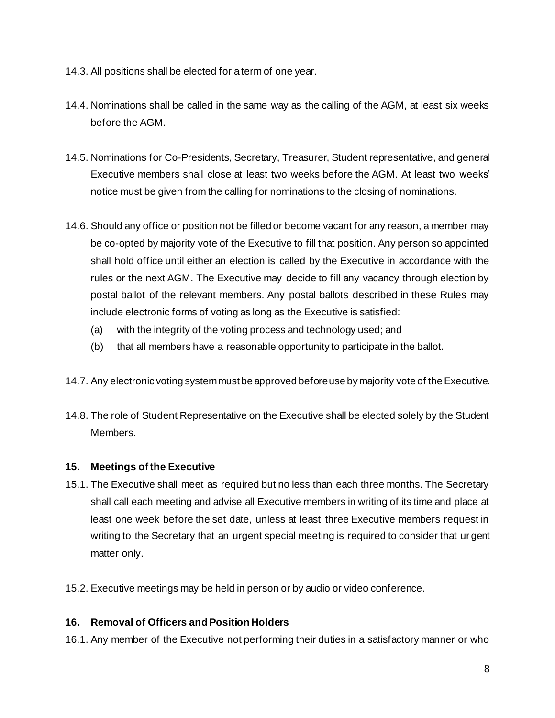- 14.3. All positions shall be elected for a term of one year.
- 14.4. Nominations shall be called in the same way as the calling of the AGM, at least six weeks before the AGM.
- 14.5. Nominations for Co-Presidents, Secretary, Treasurer, Student representative, and general Executive members shall close at least two weeks before the AGM. At least two weeks' notice must be given from the calling for nominations to the closing of nominations.
- 14.6. Should any office or position not be filled or become vacant for any reason, a member may be co-opted by majority vote of the Executive to fill that position. Any person so appointed shall hold office until either an election is called by the Executive in accordance with the rules or the next AGM. The Executive may decide to fill any vacancy through election by postal ballot of the relevant members. Any postal ballots described in these Rules may include electronic forms of voting as long as the Executive is satisfied:
	- (a) with the integrity of the voting process and technology used; and
	- (b) that all members have a reasonable opportunity to participate in the ballot.
- 14.7. Any electronic voting system must be approved before use by majority vote of the Executive.
- 14.8. The role of Student Representative on the Executive shall be elected solely by the Student Members.

## **15. Meetings of the Executive**

- 15.1. The Executive shall meet as required but no less than each three months. The Secretary shall call each meeting and advise all Executive members in writing of its time and place at least one week before the set date, unless at least three Executive members request in writing to the Secretary that an urgent special meeting is required to consider that ur gent matter only.
- 15.2. Executive meetings may be held in person or by audio or video conference.

## **16. Removal of Officers and Position Holders**

16.1. Any member of the Executive not performing their duties in a satisfactory manner or who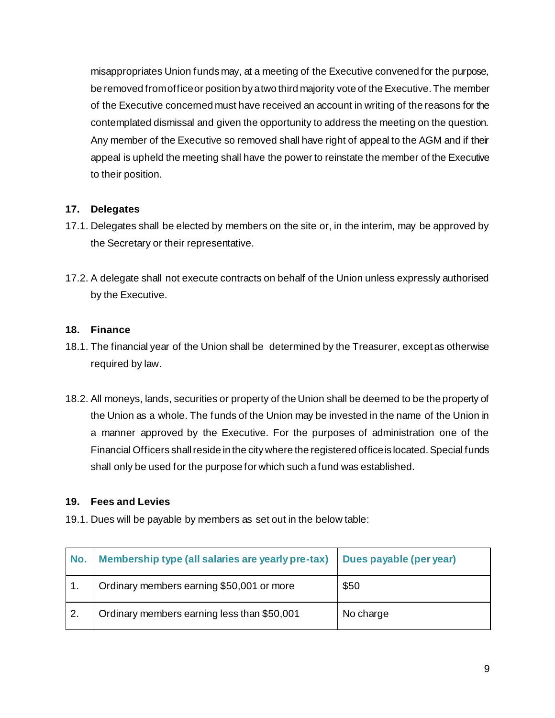misappropriates Union funds may, at a meeting of the Executive convened for the purpose, be removed from office or position by a two third majority vote of the Executive. The member of the Executive concerned must have received an account in writing of the reasons for the contemplated dismissal and given the opportunity to address the meeting on the question. Any member of the Executive so removed shall have right of appeal to the AGM and if their appeal is upheld the meeting shall have the power to reinstate the member of the Executive to their position.

## **17. Delegates**

- 17.1. Delegates shall be elected by members on the site or, in the interim, may be approved by the Secretary or their representative.
- 17.2. A delegate shall not execute contracts on behalf of the Union unless expressly authorised by the Executive.

## **18. Finance**

- 18.1. The financial year of the Union shall be determined by the Treasurer, except as otherwise required by law.
- 18.2. All moneys, lands, securities or property of the Union shall be deemed to be the property of the Union as a whole. The funds of the Union may be invested in the name of the Union in a manner approved by the Executive. For the purposes of administration one of the Financial Officers shall reside in the city where the registered office is located. Special funds shall only be used for the purpose for which such a fund was established.

## **19. Fees and Levies**

19.1. Dues will be payable by members as set out in the below table:

| No.              | Membership type (all salaries are yearly pre-tax) Dues payable (per year) |           |
|------------------|---------------------------------------------------------------------------|-----------|
|                  | Ordinary members earning \$50,001 or more                                 | \$50      |
| $\overline{2}$ . | Ordinary members earning less than \$50,001                               | No charge |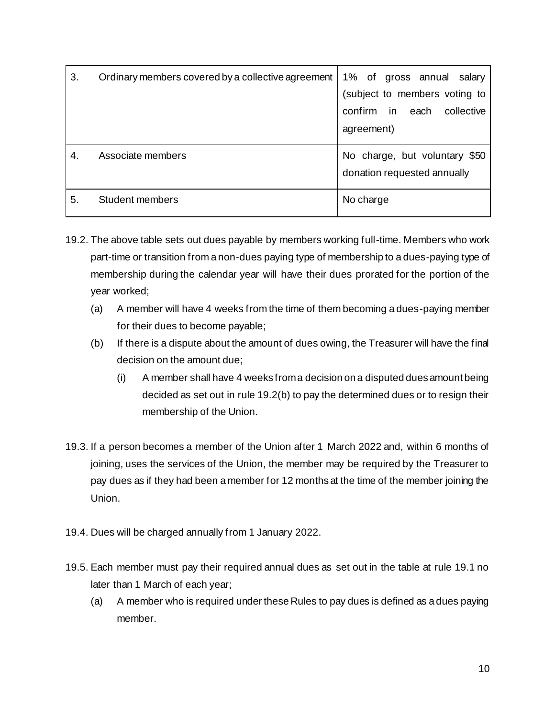| 3. | Ordinary members covered by a collective agreement | 1% of gross annual salary<br>(subject to members voting to   |
|----|----------------------------------------------------|--------------------------------------------------------------|
|    |                                                    | confirm in<br>collective<br>each<br>agreement)               |
| 4. | Associate members                                  | No charge, but voluntary \$50<br>donation requested annually |
| 5. | <b>Student members</b>                             | No charge                                                    |

- 19.2. The above table sets out dues payable by members working full-time. Members who work part-time or transition from a non-dues paying type of membership to a dues-paying type of membership during the calendar year will have their dues prorated for the portion of the year worked;
	- (a) A member will have 4 weeks from the time of them becoming a dues-paying member for their dues to become payable;
	- (b) If there is a dispute about the amount of dues owing, the Treasurer will have the final decision on the amount due;
		- (i) A member shall have 4 weeks from a decision on a disputed dues amount being decided as set out in rule 19.2(b) to pay the determined dues or to resign their membership of the Union.
- 19.3. If a person becomes a member of the Union after 1 March 2022 and, within 6 months of joining, uses the services of the Union, the member may be required by the Treasurer to pay dues as if they had been a member for 12 months at the time of the member joining the Union.
- 19.4. Dues will be charged annually from 1 January 2022.
- 19.5. Each member must pay their required annual dues as set out in the table at rule 19.1 no later than 1 March of each year;
	- (a) A member who is required under these Rules to pay dues is defined as a dues paying member.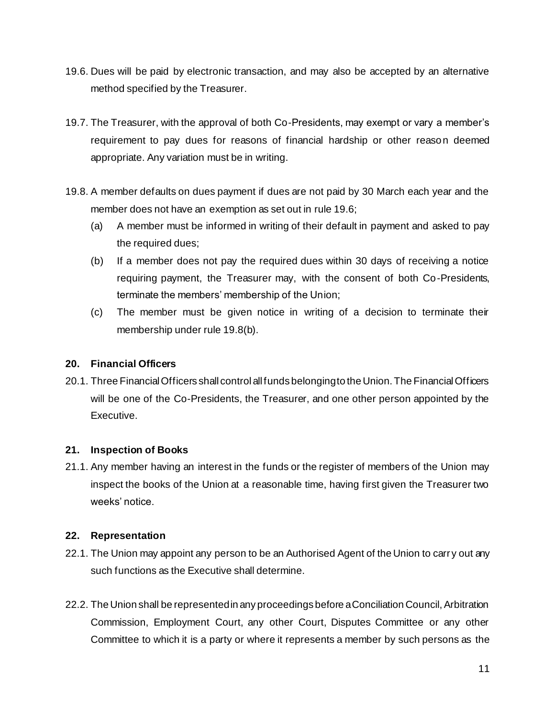- 19.6. Dues will be paid by electronic transaction, and may also be accepted by an alternative method specified by the Treasurer.
- 19.7. The Treasurer, with the approval of both Co-Presidents, may exempt or vary a member's requirement to pay dues for reasons of financial hardship or other reason deemed appropriate. Any variation must be in writing.
- 19.8. A member defaults on dues payment if dues are not paid by 30 March each year and the member does not have an exemption as set out in rule 19.6;
	- (a) A member must be informed in writing of their default in payment and asked to pay the required dues;
	- (b) If a member does not pay the required dues within 30 days of receiving a notice requiring payment, the Treasurer may, with the consent of both Co-Presidents, terminate the members' membership of the Union;
	- (c) The member must be given notice in writing of a decision to terminate their membership under rule 19.8(b).

## **20. Financial Officers**

20.1. Three Financial Officers shall control all funds belonging to the Union. The Financial Officers will be one of the Co-Presidents, the Treasurer, and one other person appointed by the Executive.

## **21. Inspection of Books**

21.1. Any member having an interest in the funds or the register of members of the Union may inspect the books of the Union at a reasonable time, having first given the Treasurer two weeks' notice.

#### **22. Representation**

- 22.1. The Union may appoint any person to be an Authorised Agent of the Union to carr y out any such functions as the Executive shall determine.
- 22.2. The Union shall be represented in any proceedings before a Conciliation Council, Arbitration Commission, Employment Court, any other Court, Disputes Committee or any other Committee to which it is a party or where it represents a member by such persons as the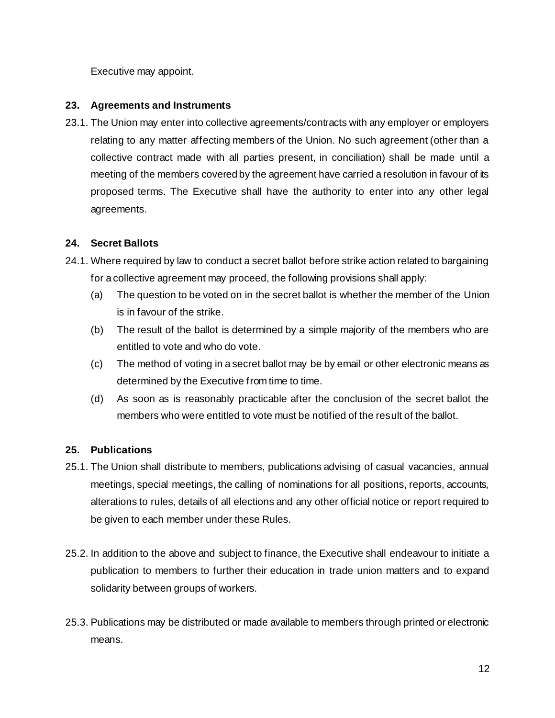Executive may appoint.

#### **23. Agreements and Instruments**

23.1. The Union may enter into collective agreements/contracts with any employer or employers relating to any matter affecting members of the Union. No such agreement (other than a collective contract made with all parties present, in conciliation) shall be made until a meeting of the members covered by the agreement have carried a resolution in favour of its proposed terms. The Executive shall have the authority to enter into any other legal agreements.

## **24. Secret Ballots**

- 24.1. Where required by law to conduct a secret ballot before strike action related to bargaining for a collective agreement may proceed, the following provisions shall apply:
	- (a) The question to be voted on in the secret ballot is whether the member of the Union is in favour of the strike.
	- (b) The result of the ballot is determined by a simple majority of the members who are entitled to vote and who do vote.
	- (c) The method of voting in a secret ballot may be by email or other electronic means as determined by the Executive from time to time.
	- (d) As soon as is reasonably practicable after the conclusion of the secret ballot the members who were entitled to vote must be notified of the result of the ballot.

## **25. Publications**

- 25.1. The Union shall distribute to members, publications advising of casual vacancies, annual meetings, special meetings, the calling of nominations for all positions, reports, accounts, alterations to rules, details of all elections and any other official notice or report required to be given to each member under these Rules.
- 25.2. In addition to the above and subject to finance, the Executive shall endeavour to initiate a publication to members to further their education in trade union matters and to expand solidarity between groups of workers.
- 25.3. Publications may be distributed or made available to members through printed or electronic means.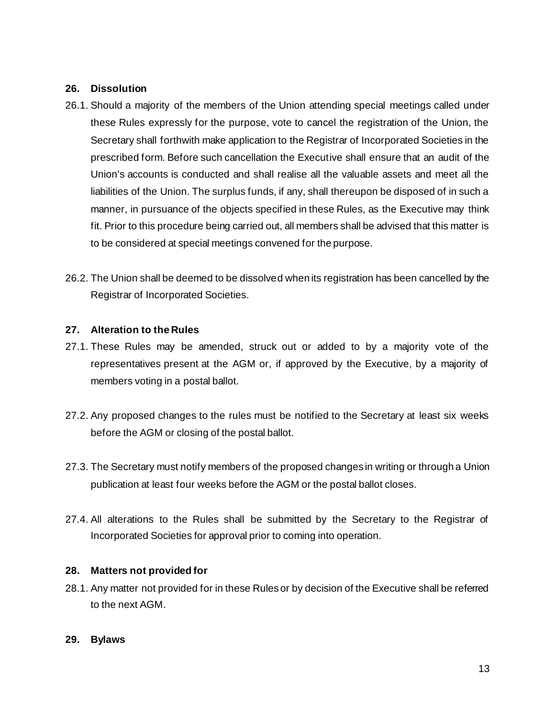#### **26. Dissolution**

- 26.1. Should a majority of the members of the Union attending special meetings called under these Rules expressly for the purpose, vote to cancel the registration of the Union, the Secretary shall forthwith make application to the Registrar of Incorporated Societies in the prescribed form. Before such cancellation the Executive shall ensure that an audit of the Union's accounts is conducted and shall realise all the valuable assets and meet all the liabilities of the Union. The surplus funds, if any, shall thereupon be disposed of in such a manner, in pursuance of the objects specified in these Rules, as the Executive may think fit. Prior to this procedure being carried out, all members shall be advised that this matter is to be considered at special meetings convened for the purpose.
- 26.2. The Union shall be deemed to be dissolved when its registration has been cancelled by the Registrar of Incorporated Societies.

#### **27. Alteration to the Rules**

- 27.1. These Rules may be amended, struck out or added to by a majority vote of the representatives present at the AGM or, if approved by the Executive, by a majority of members voting in a postal ballot.
- 27.2. Any proposed changes to the rules must be notified to the Secretary at least six weeks before the AGM or closing of the postal ballot.
- 27.3. The Secretary must notify members of the proposed changes in writing or through a Union publication at least four weeks before the AGM or the postal ballot closes.
- 27.4. All alterations to the Rules shall be submitted by the Secretary to the Registrar of Incorporated Societies for approval prior to coming into operation.

#### **28. Matters not provided for**

28.1. Any matter not provided for in these Rules or by decision of the Executive shall be referred to the next AGM.

#### **29. Bylaws**